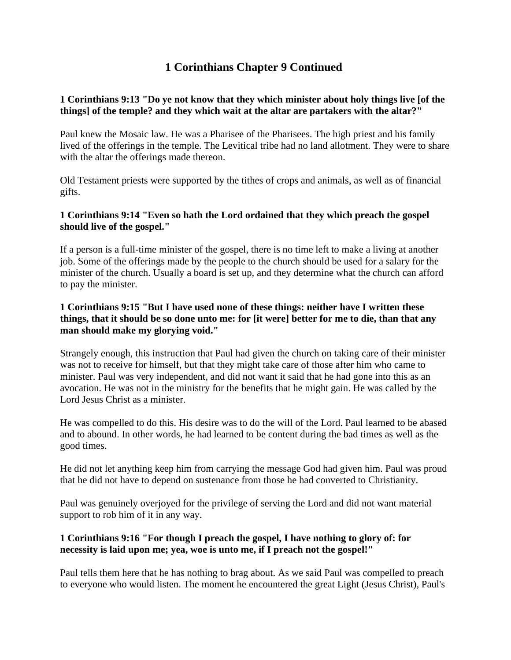# **1 Corinthians Chapter 9 Continued**

# **1 Corinthians 9:13 "Do ye not know that they which minister about holy things live [of the things] of the temple? and they which wait at the altar are partakers with the altar?"**

Paul knew the Mosaic law. He was a Pharisee of the Pharisees. The high priest and his family lived of the offerings in the temple. The Levitical tribe had no land allotment. They were to share with the altar the offerings made thereon.

Old Testament priests were supported by the tithes of crops and animals, as well as of financial gifts.

# **1 Corinthians 9:14 "Even so hath the Lord ordained that they which preach the gospel should live of the gospel."**

If a person is a full-time minister of the gospel, there is no time left to make a living at another job. Some of the offerings made by the people to the church should be used for a salary for the minister of the church. Usually a board is set up, and they determine what the church can afford to pay the minister.

## **1 Corinthians 9:15 "But I have used none of these things: neither have I written these things, that it should be so done unto me: for [it were] better for me to die, than that any man should make my glorying void."**

Strangely enough, this instruction that Paul had given the church on taking care of their minister was not to receive for himself, but that they might take care of those after him who came to minister. Paul was very independent, and did not want it said that he had gone into this as an avocation. He was not in the ministry for the benefits that he might gain. He was called by the Lord Jesus Christ as a minister.

He was compelled to do this. His desire was to do the will of the Lord. Paul learned to be abased and to abound. In other words, he had learned to be content during the bad times as well as the good times.

He did not let anything keep him from carrying the message God had given him. Paul was proud that he did not have to depend on sustenance from those he had converted to Christianity.

Paul was genuinely overjoyed for the privilege of serving the Lord and did not want material support to rob him of it in any way.

# **1 Corinthians 9:16 "For though I preach the gospel, I have nothing to glory of: for necessity is laid upon me; yea, woe is unto me, if I preach not the gospel!"**

Paul tells them here that he has nothing to brag about. As we said Paul was compelled to preach to everyone who would listen. The moment he encountered the great Light (Jesus Christ), Paul's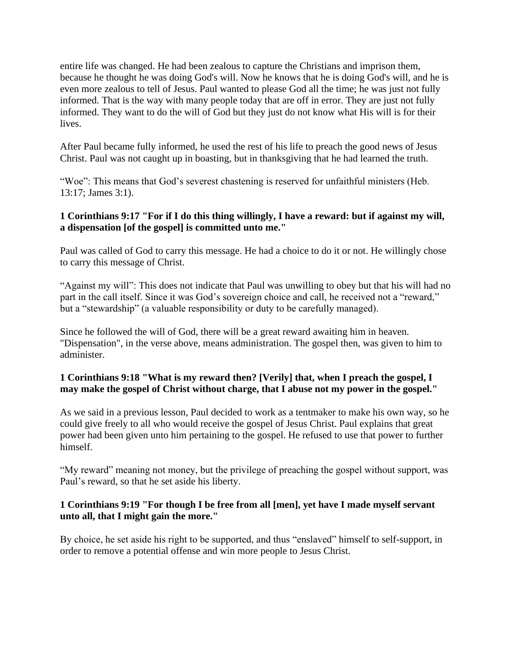entire life was changed. He had been zealous to capture the Christians and imprison them, because he thought he was doing God's will. Now he knows that he is doing God's will, and he is even more zealous to tell of Jesus. Paul wanted to please God all the time; he was just not fully informed. That is the way with many people today that are off in error. They are just not fully informed. They want to do the will of God but they just do not know what His will is for their lives.

After Paul became fully informed, he used the rest of his life to preach the good news of Jesus Christ. Paul was not caught up in boasting, but in thanksgiving that he had learned the truth.

"Woe": This means that God's severest chastening is reserved for unfaithful ministers (Heb. 13:17; James 3:1).

## **1 Corinthians 9:17 "For if I do this thing willingly, I have a reward: but if against my will, a dispensation [of the gospel] is committed unto me."**

Paul was called of God to carry this message. He had a choice to do it or not. He willingly chose to carry this message of Christ.

"Against my will": This does not indicate that Paul was unwilling to obey but that his will had no part in the call itself. Since it was God's sovereign choice and call, he received not a "reward," but a "stewardship" (a valuable responsibility or duty to be carefully managed).

Since he followed the will of God, there will be a great reward awaiting him in heaven. "Dispensation", in the verse above, means administration. The gospel then, was given to him to administer.

## **1 Corinthians 9:18 "What is my reward then? [Verily] that, when I preach the gospel, I may make the gospel of Christ without charge, that I abuse not my power in the gospel."**

As we said in a previous lesson, Paul decided to work as a tentmaker to make his own way, so he could give freely to all who would receive the gospel of Jesus Christ. Paul explains that great power had been given unto him pertaining to the gospel. He refused to use that power to further himself.

"My reward" meaning not money, but the privilege of preaching the gospel without support, was Paul's reward, so that he set aside his liberty.

## **1 Corinthians 9:19 "For though I be free from all [men], yet have I made myself servant unto all, that I might gain the more."**

By choice, he set aside his right to be supported, and thus "enslaved" himself to self-support, in order to remove a potential offense and win more people to Jesus Christ.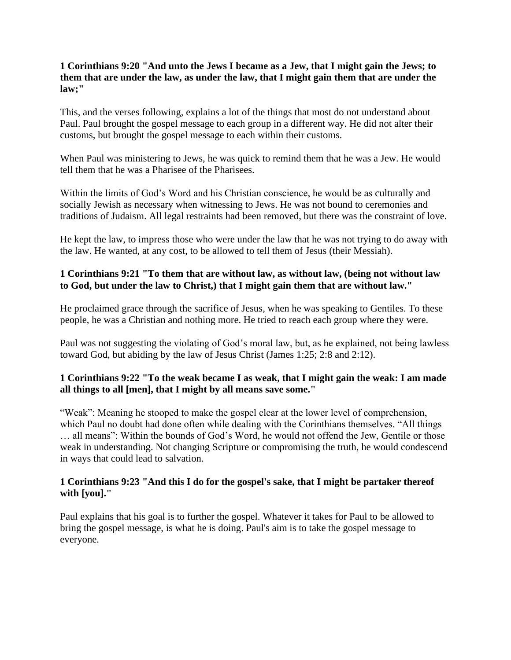#### **1 Corinthians 9:20 "And unto the Jews I became as a Jew, that I might gain the Jews; to them that are under the law, as under the law, that I might gain them that are under the law;"**

This, and the verses following, explains a lot of the things that most do not understand about Paul. Paul brought the gospel message to each group in a different way. He did not alter their customs, but brought the gospel message to each within their customs.

When Paul was ministering to Jews, he was quick to remind them that he was a Jew. He would tell them that he was a Pharisee of the Pharisees.

Within the limits of God's Word and his Christian conscience, he would be as culturally and socially Jewish as necessary when witnessing to Jews. He was not bound to ceremonies and traditions of Judaism. All legal restraints had been removed, but there was the constraint of love.

He kept the law, to impress those who were under the law that he was not trying to do away with the law. He wanted, at any cost, to be allowed to tell them of Jesus (their Messiah).

# **1 Corinthians 9:21 "To them that are without law, as without law, (being not without law to God, but under the law to Christ,) that I might gain them that are without law."**

He proclaimed grace through the sacrifice of Jesus, when he was speaking to Gentiles. To these people, he was a Christian and nothing more. He tried to reach each group where they were.

Paul was not suggesting the violating of God's moral law, but, as he explained, not being lawless toward God, but abiding by the law of Jesus Christ (James 1:25; 2:8 and 2:12).

## **1 Corinthians 9:22 "To the weak became I as weak, that I might gain the weak: I am made all things to all [men], that I might by all means save some."**

"Weak": Meaning he stooped to make the gospel clear at the lower level of comprehension, which Paul no doubt had done often while dealing with the Corinthians themselves. "All things … all means": Within the bounds of God's Word, he would not offend the Jew, Gentile or those weak in understanding. Not changing Scripture or compromising the truth, he would condescend in ways that could lead to salvation.

## **1 Corinthians 9:23 "And this I do for the gospel's sake, that I might be partaker thereof with [you]."**

Paul explains that his goal is to further the gospel. Whatever it takes for Paul to be allowed to bring the gospel message, is what he is doing. Paul's aim is to take the gospel message to everyone.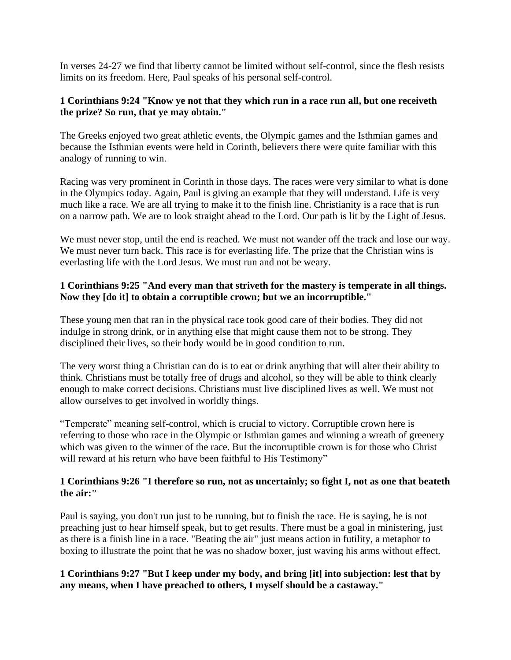In verses 24-27 we find that liberty cannot be limited without self-control, since the flesh resists limits on its freedom. Here, Paul speaks of his personal self-control.

#### **1 Corinthians 9:24 "Know ye not that they which run in a race run all, but one receiveth the prize? So run, that ye may obtain."**

The Greeks enjoyed two great athletic events, the Olympic games and the Isthmian games and because the Isthmian events were held in Corinth, believers there were quite familiar with this analogy of running to win.

Racing was very prominent in Corinth in those days. The races were very similar to what is done in the Olympics today. Again, Paul is giving an example that they will understand. Life is very much like a race. We are all trying to make it to the finish line. Christianity is a race that is run on a narrow path. We are to look straight ahead to the Lord. Our path is lit by the Light of Jesus.

We must never stop, until the end is reached. We must not wander off the track and lose our way. We must never turn back. This race is for everlasting life. The prize that the Christian wins is everlasting life with the Lord Jesus. We must run and not be weary.

#### **1 Corinthians 9:25 "And every man that striveth for the mastery is temperate in all things. Now they [do it] to obtain a corruptible crown; but we an incorruptible."**

These young men that ran in the physical race took good care of their bodies. They did not indulge in strong drink, or in anything else that might cause them not to be strong. They disciplined their lives, so their body would be in good condition to run.

The very worst thing a Christian can do is to eat or drink anything that will alter their ability to think. Christians must be totally free of drugs and alcohol, so they will be able to think clearly enough to make correct decisions. Christians must live disciplined lives as well. We must not allow ourselves to get involved in worldly things.

"Temperate" meaning self-control, which is crucial to victory. Corruptible crown here is referring to those who race in the Olympic or Isthmian games and winning a wreath of greenery which was given to the winner of the race. But the incorruptible crown is for those who Christ will reward at his return who have been faithful to His Testimony"

## **1 Corinthians 9:26 "I therefore so run, not as uncertainly; so fight I, not as one that beateth the air:"**

Paul is saying, you don't run just to be running, but to finish the race. He is saying, he is not preaching just to hear himself speak, but to get results. There must be a goal in ministering, just as there is a finish line in a race. "Beating the air" just means action in futility, a metaphor to boxing to illustrate the point that he was no shadow boxer, just waving his arms without effect.

# **1 Corinthians 9:27 "But I keep under my body, and bring [it] into subjection: lest that by any means, when I have preached to others, I myself should be a castaway."**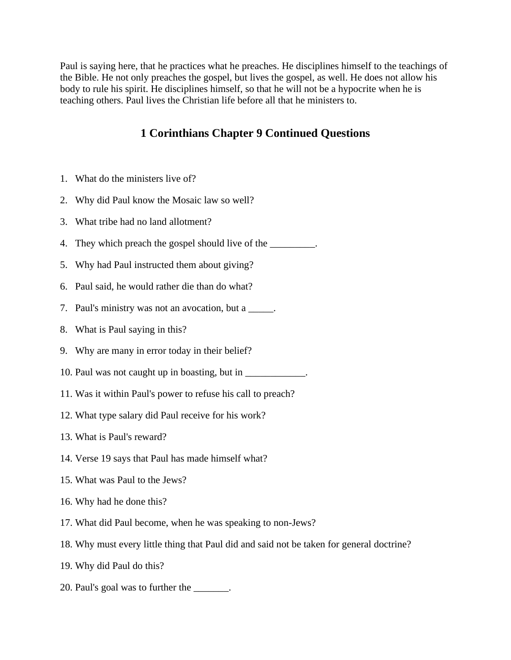Paul is saying here, that he practices what he preaches. He disciplines himself to the teachings of the Bible. He not only preaches the gospel, but lives the gospel, as well. He does not allow his body to rule his spirit. He disciplines himself, so that he will not be a hypocrite when he is teaching others. Paul lives the Christian life before all that he ministers to.

# **1 Corinthians Chapter 9 Continued Questions**

- 1. What do the ministers live of?
- 2. Why did Paul know the Mosaic law so well?
- 3. What tribe had no land allotment?
- 4. They which preach the gospel should live of the \_\_\_\_\_\_\_\_\_.
- 5. Why had Paul instructed them about giving?
- 6. Paul said, he would rather die than do what?
- 7. Paul's ministry was not an avocation, but a \_\_\_\_\_.
- 8. What is Paul saying in this?
- 9. Why are many in error today in their belief?
- 10. Paul was not caught up in boasting, but in \_\_\_\_\_\_\_\_\_\_\_.
- 11. Was it within Paul's power to refuse his call to preach?
- 12. What type salary did Paul receive for his work?
- 13. What is Paul's reward?
- 14. Verse 19 says that Paul has made himself what?
- 15. What was Paul to the Jews?
- 16. Why had he done this?
- 17. What did Paul become, when he was speaking to non-Jews?
- 18. Why must every little thing that Paul did and said not be taken for general doctrine?
- 19. Why did Paul do this?
- 20. Paul's goal was to further the \_\_\_\_\_\_\_.